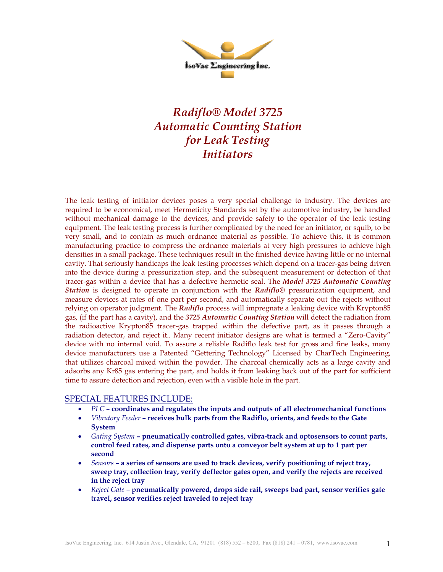

## *Radiflo® Model 3725 Automatic Counting Station for Leak Testing Initiators*

The leak testing of initiator devices poses a very special challenge to industry. The devices are required to be economical, meet Hermeticity Standards set by the automotive industry, be handled without mechanical damage to the devices, and provide safety to the operator of the leak testing equipment. The leak testing process is further complicated by the need for an initiator, or squib, to be very small, and to contain as much ordnance material as possible. To achieve this, it is common manufacturing practice to compress the ordnance materials at very high pressures to achieve high densities in a small package. These techniques result in the finished device having little or no internal cavity. That seriously handicaps the leak testing processes which depend on a tracer-gas being driven into the device during a pressurization step, and the subsequent measurement or detection of that tracer-gas within a device that has a defective hermetic seal. The *Model 3725 Automatic Counting Station* is designed to operate in conjunction with the *Radiflo®* pressurization equipment, and measure devices at rates of one part per second, and automatically separate out the rejects without relying on operator judgment. The *Radiflo* process will impregnate a leaking device with Krypton85 gas, (if the part has a cavity), and the *3725 Automatic Counting Station* will detect the radiation from the radioactive Krypton85 tracer-gas trapped within the defective part, as it passes through a radiation detector, and reject it.. Many recent initiator designs are what is termed a "Zero-Cavity" device with no internal void. To assure a reliable Radiflo leak test for gross and fine leaks, many device manufacturers use a Patented "Gettering Technology" Licensed by CharTech Engineering, that utilizes charcoal mixed within the powder. The charcoal chemically acts as a large cavity and adsorbs any Kr85 gas entering the part, and holds it from leaking back out of the part for sufficient time to assure detection and rejection, even with a visible hole in the part.

## SPECIAL FEATURES INCLUDE:

- *PLC* **coordinates and regulates the inputs and outputs of all electromechanical functions**
- *Vibratory Feeder* **receives bulk parts from the Radiflo, orients, and feeds to the Gate System**
- *Gating System* **pneumatically controlled gates, vibra-track and optosensors to count parts, control feed rates, and dispense parts onto a conveyor belt system at up to 1 part per second**
- *Sensors* **a series of sensors are used to track devices, verify positioning of reject tray, sweep tray, collection tray, verify deflector gates open, and verify the rejects are received in the reject tray**
- *Reject Gate –* **pneumatically powered, drops side rail, sweeps bad part, sensor verifies gate travel, sensor verifies reject traveled to reject tray**